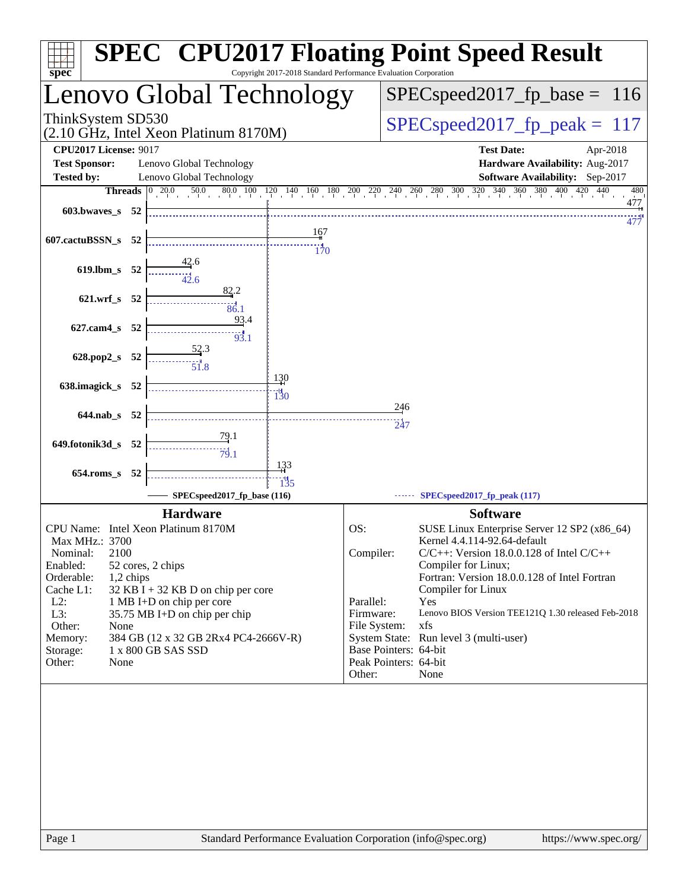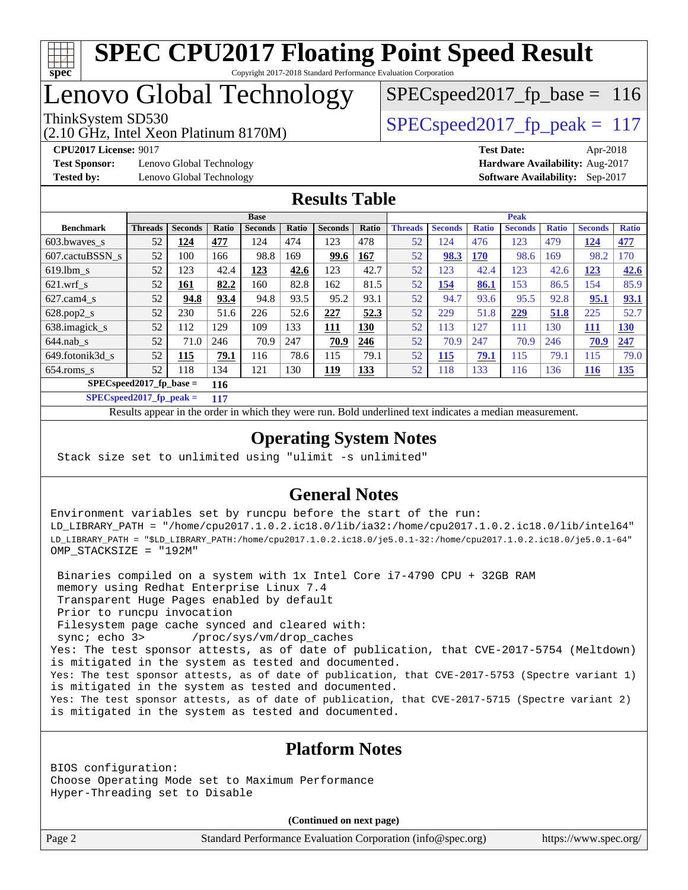

# Lenovo Global Technology

(2.10 GHz, Intel Xeon Platinum 8170M)

ThinkSystem SD530  $SPEC speed2017$  fp\_peak = 117 SPECspeed2017 fp base =  $116$ 

**[Test Sponsor:](http://www.spec.org/auto/cpu2017/Docs/result-fields.html#TestSponsor)** Lenovo Global Technology **[Hardware Availability:](http://www.spec.org/auto/cpu2017/Docs/result-fields.html#HardwareAvailability)** Aug-2017 **[Tested by:](http://www.spec.org/auto/cpu2017/Docs/result-fields.html#Testedby)** Lenovo Global Technology **[Software Availability:](http://www.spec.org/auto/cpu2017/Docs/result-fields.html#SoftwareAvailability)** Sep-2017

**[CPU2017 License:](http://www.spec.org/auto/cpu2017/Docs/result-fields.html#CPU2017License)** 9017 **[Test Date:](http://www.spec.org/auto/cpu2017/Docs/result-fields.html#TestDate)** Apr-2018

#### **[Results Table](http://www.spec.org/auto/cpu2017/Docs/result-fields.html#ResultsTable)**

|                                  | <b>Base</b>    |                |       |                |       | <b>Peak</b>    |       |                |                |              |                |              |                |              |
|----------------------------------|----------------|----------------|-------|----------------|-------|----------------|-------|----------------|----------------|--------------|----------------|--------------|----------------|--------------|
| <b>Benchmark</b>                 | <b>Threads</b> | <b>Seconds</b> | Ratio | <b>Seconds</b> | Ratio | <b>Seconds</b> | Ratio | <b>Threads</b> | <b>Seconds</b> | <b>Ratio</b> | <b>Seconds</b> | <b>Ratio</b> | <b>Seconds</b> | <b>Ratio</b> |
| $603.bwaves$ s                   | 52             | 124            | 477   | 124            | 474   | 123            | 478   | 52             | 124            | 476          | 123            | 479          | <u>124</u>     | 477          |
| 607.cactuBSSN s                  | 52             | 100            | 166   | 98.8           | 169   | 99.6           | 167   | 52             | 98.3           | <b>170</b>   | 98.6           | 169          | 98.2           | 170          |
| $619.1$ bm s                     | 52             | 123            | 42.4  | 123            | 42.6  | 123            | 42.7  | 52             | 123            | 42.4         | 123            | 42.6         | <u>123</u>     | 42.6         |
| $621$ wrf s                      | 52             | <u> 161</u>    | 82.2  | 160            | 82.8  | 162            | 81.5  | 52             | <u>154</u>     | 86.1         | 153            | 86.5         | 154            | 85.9         |
| $627$ .cam4 s                    | 52             | 94.8           | 93.4  | 94.8           | 93.5  | 95.2           | 93.1  | 52             | 94.7           | 93.6         | 95.5           | 92.8         | 95.1           | 93.1         |
| $628.pop2_s$                     | 52             | 230            | 51.6  | 226            | 52.6  | 227            | 52.3  | 52             | 229            | 51.8         | 229            | 51.8         | 225            | 52.7         |
| 638.imagick_s                    | 52             | 112            | 129   | 109            | 133   | 111            | 130   | 52             | 113            | 127          | 111            | 130          | <u> 111</u>    | 130          |
| $644$ .nab s                     | 52             | 71.0           | 246   | 70.9           | 247   | 70.9           | 246   | 52             | 70.9           | 247          | 70.9           | 246          | 70.9           | 247          |
| 649.fotonik3d s                  | 52             | 115            | 79.1  | 116            | 78.6  | 115            | 79.1  | 52             | 115            | 79.1         | 115            | 79.1         | 115            | 79.0         |
| $654$ .roms_s                    | 52             | 118            | 134   | 121            | 130   | <u> 119</u>    | 133   | 52             | 118            | 133          | 116            | 136          | <u>116</u>     | <u>135</u>   |
| $SPECspeed2017$ fp base =<br>116 |                |                |       |                |       |                |       |                |                |              |                |              |                |              |

**[SPECspeed2017\\_fp\\_peak =](http://www.spec.org/auto/cpu2017/Docs/result-fields.html#SPECspeed2017fppeak) 117**

Results appear in the [order in which they were run.](http://www.spec.org/auto/cpu2017/Docs/result-fields.html#RunOrder) Bold underlined text [indicates a median measurement](http://www.spec.org/auto/cpu2017/Docs/result-fields.html#Median).

### **[Operating System Notes](http://www.spec.org/auto/cpu2017/Docs/result-fields.html#OperatingSystemNotes)**

Stack size set to unlimited using "ulimit -s unlimited"

#### **[General Notes](http://www.spec.org/auto/cpu2017/Docs/result-fields.html#GeneralNotes)**

Environment variables set by runcpu before the start of the run: LD\_LIBRARY\_PATH = "/home/cpu2017.1.0.2.ic18.0/lib/ia32:/home/cpu2017.1.0.2.ic18.0/lib/intel64" LD\_LIBRARY\_PATH = "\$LD\_LIBRARY\_PATH:/home/cpu2017.1.0.2.ic18.0/je5.0.1-32:/home/cpu2017.1.0.2.ic18.0/je5.0.1-64" OMP\_STACKSIZE = "192M"

 Binaries compiled on a system with 1x Intel Core i7-4790 CPU + 32GB RAM memory using Redhat Enterprise Linux 7.4 Transparent Huge Pages enabled by default Prior to runcpu invocation Filesystem page cache synced and cleared with: sync; echo 3> /proc/sys/vm/drop\_caches Yes: The test sponsor attests, as of date of publication, that CVE-2017-5754 (Meltdown) is mitigated in the system as tested and documented. Yes: The test sponsor attests, as of date of publication, that CVE-2017-5753 (Spectre variant 1) is mitigated in the system as tested and documented. Yes: The test sponsor attests, as of date of publication, that CVE-2017-5715 (Spectre variant 2) is mitigated in the system as tested and documented.

#### **[Platform Notes](http://www.spec.org/auto/cpu2017/Docs/result-fields.html#PlatformNotes)**

BIOS configuration: Choose Operating Mode set to Maximum Performance Hyper-Threading set to Disable

**(Continued on next page)**

Page 2 Standard Performance Evaluation Corporation [\(info@spec.org\)](mailto:info@spec.org) <https://www.spec.org/>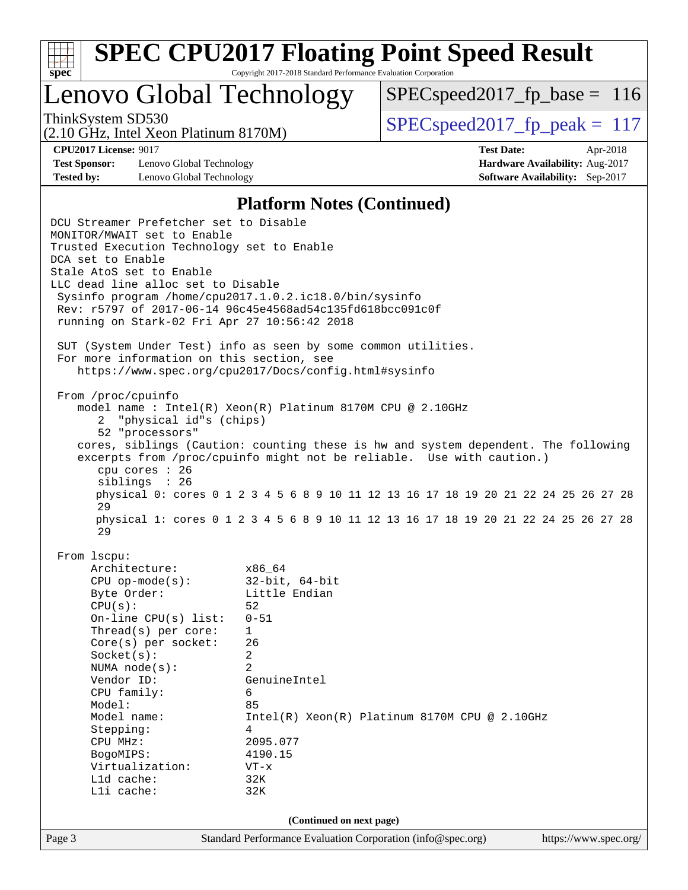

# Lenovo Global Technology

 $SPEC speed2017_fp\_base = 116$ 

(2.10 GHz, Intel Xeon Platinum 8170M)

ThinkSystem SD530  $SPEC speed2017$  fp\_peak = 117

**[Test Sponsor:](http://www.spec.org/auto/cpu2017/Docs/result-fields.html#TestSponsor)** Lenovo Global Technology **[Hardware Availability:](http://www.spec.org/auto/cpu2017/Docs/result-fields.html#HardwareAvailability)** Aug-2017 **[Tested by:](http://www.spec.org/auto/cpu2017/Docs/result-fields.html#Testedby)** Lenovo Global Technology **[Software Availability:](http://www.spec.org/auto/cpu2017/Docs/result-fields.html#SoftwareAvailability)** Sep-2017

**[CPU2017 License:](http://www.spec.org/auto/cpu2017/Docs/result-fields.html#CPU2017License)** 9017 **[Test Date:](http://www.spec.org/auto/cpu2017/Docs/result-fields.html#TestDate)** Apr-2018

#### **[Platform Notes \(Continued\)](http://www.spec.org/auto/cpu2017/Docs/result-fields.html#PlatformNotes)**

Page 3 Standard Performance Evaluation Corporation [\(info@spec.org\)](mailto:info@spec.org) <https://www.spec.org/> DCU Streamer Prefetcher set to Disable MONITOR/MWAIT set to Enable Trusted Execution Technology set to Enable DCA set to Enable Stale AtoS set to Enable LLC dead line alloc set to Disable Sysinfo program /home/cpu2017.1.0.2.ic18.0/bin/sysinfo Rev: r5797 of 2017-06-14 96c45e4568ad54c135fd618bcc091c0f running on Stark-02 Fri Apr 27 10:56:42 2018 SUT (System Under Test) info as seen by some common utilities. For more information on this section, see <https://www.spec.org/cpu2017/Docs/config.html#sysinfo> From /proc/cpuinfo model name : Intel(R) Xeon(R) Platinum 8170M CPU @ 2.10GHz 2 "physical id"s (chips) 52 "processors" cores, siblings (Caution: counting these is hw and system dependent. The following excerpts from /proc/cpuinfo might not be reliable. Use with caution.) cpu cores : 26 siblings : 26 physical 0: cores 0 1 2 3 4 5 6 8 9 10 11 12 13 16 17 18 19 20 21 22 24 25 26 27 28 29 physical 1: cores 0 1 2 3 4 5 6 8 9 10 11 12 13 16 17 18 19 20 21 22 24 25 26 27 28 29 From lscpu: Architecture: x86\_64 CPU op-mode(s): 32-bit, 64-bit Byte Order: Little Endian  $CPU(s):$  52 On-line CPU(s) list: 0-51 Thread(s) per core: 1 Core(s) per socket: 26 Socket(s): 2 NUMA node(s): 2 Vendor ID: GenuineIntel CPU family: 6 Model: 85 Model name: Intel(R) Xeon(R) Platinum 8170M CPU @ 2.10GHz Stepping: 4 CPU MHz: 2095.077 BogoMIPS: 4190.15 Virtualization: VT-x L1d cache: 32K L1i cache: 32K **(Continued on next page)**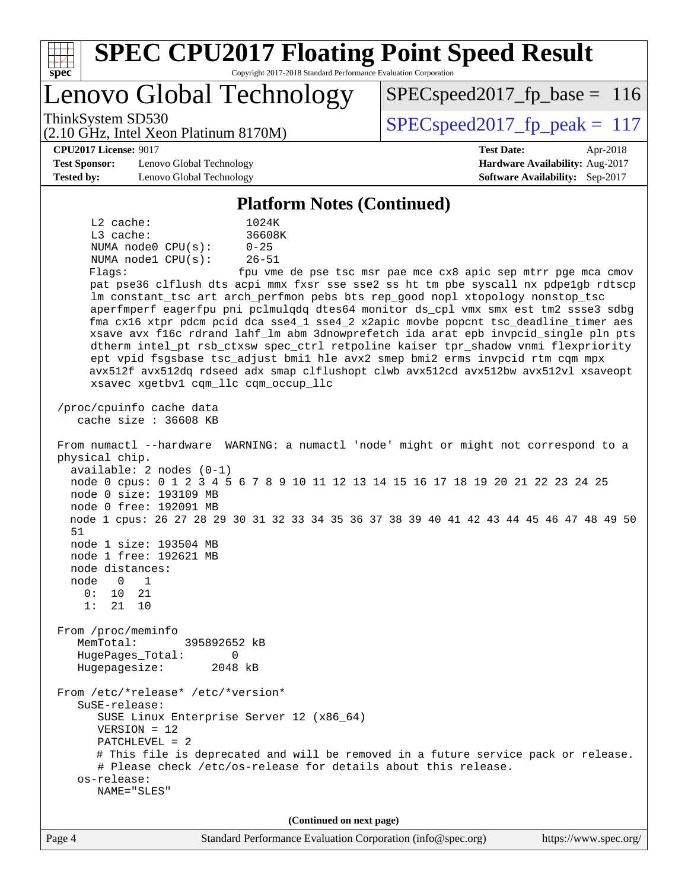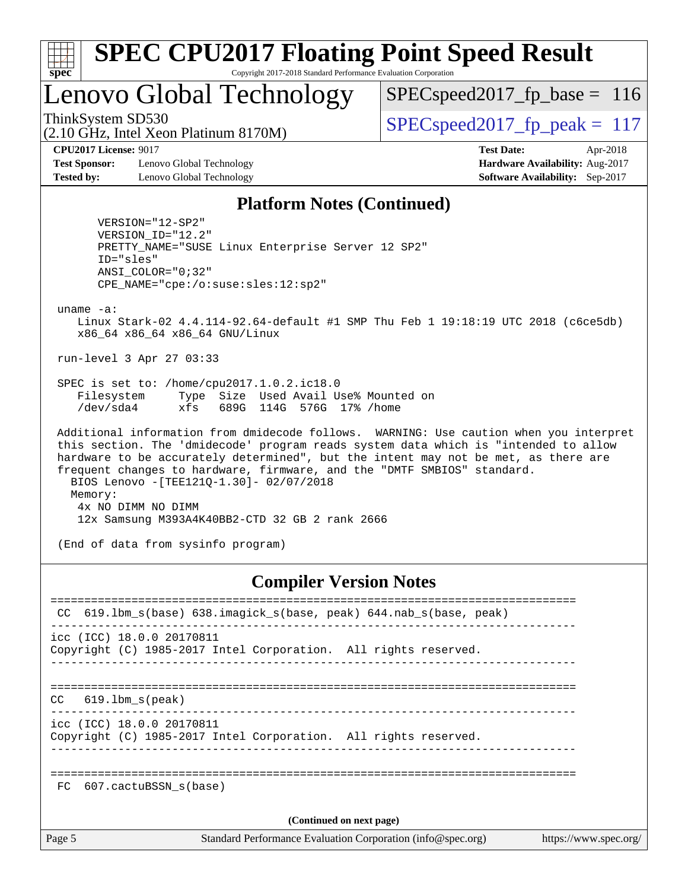

# Lenovo Global Technology

 $SPEC speed2017_fp\_base = 116$ 

(2.10 GHz, Intel Xeon Platinum 8170M)

ThinkSystem SD530  $SPEC speed2017$  fp\_peak = 117

**[Test Sponsor:](http://www.spec.org/auto/cpu2017/Docs/result-fields.html#TestSponsor)** Lenovo Global Technology **[Hardware Availability:](http://www.spec.org/auto/cpu2017/Docs/result-fields.html#HardwareAvailability)** Aug-2017 **[Tested by:](http://www.spec.org/auto/cpu2017/Docs/result-fields.html#Testedby)** Lenovo Global Technology **[Software Availability:](http://www.spec.org/auto/cpu2017/Docs/result-fields.html#SoftwareAvailability)** Sep-2017

**[CPU2017 License:](http://www.spec.org/auto/cpu2017/Docs/result-fields.html#CPU2017License)** 9017 **[Test Date:](http://www.spec.org/auto/cpu2017/Docs/result-fields.html#TestDate)** Apr-2018

#### **[Platform Notes \(Continued\)](http://www.spec.org/auto/cpu2017/Docs/result-fields.html#PlatformNotes)**

 VERSION="12-SP2" VERSION\_ID="12.2" PRETTY\_NAME="SUSE Linux Enterprise Server 12 SP2" ID="sles" ANSI\_COLOR="0;32" CPE\_NAME="cpe:/o:suse:sles:12:sp2"

uname -a:

 Linux Stark-02 4.4.114-92.64-default #1 SMP Thu Feb 1 19:18:19 UTC 2018 (c6ce5db) x86\_64 x86\_64 x86\_64 GNU/Linux

run-level 3 Apr 27 03:33

 SPEC is set to: /home/cpu2017.1.0.2.ic18.0 Filesystem Type Size Used Avail Use% Mounted on /dev/sda4 xfs 689G 114G 576G 17% /home

 Additional information from dmidecode follows. WARNING: Use caution when you interpret this section. The 'dmidecode' program reads system data which is "intended to allow hardware to be accurately determined", but the intent may not be met, as there are frequent changes to hardware, firmware, and the "DMTF SMBIOS" standard. BIOS Lenovo -[TEE121Q-1.30]- 02/07/2018 Memory: 4x NO DIMM NO DIMM 12x Samsung M393A4K40BB2-CTD 32 GB 2 rank 2666

(End of data from sysinfo program)

#### **[Compiler Version Notes](http://www.spec.org/auto/cpu2017/Docs/result-fields.html#CompilerVersionNotes)**

| CC.                      | 619.1bm_s(base) 638.imagick_s(base, peak) 644.nab_s(base, peak)                      |  |  |  |  |  |  |
|--------------------------|--------------------------------------------------------------------------------------|--|--|--|--|--|--|
|                          | icc (ICC) 18.0.0 20170811                                                            |  |  |  |  |  |  |
|                          | Copyright (C) 1985-2017 Intel Corporation. All rights reserved.                      |  |  |  |  |  |  |
|                          |                                                                                      |  |  |  |  |  |  |
|                          |                                                                                      |  |  |  |  |  |  |
| CC.                      | 619.lbm s(peak)                                                                      |  |  |  |  |  |  |
|                          | icc (ICC) 18.0.0 20170811                                                            |  |  |  |  |  |  |
|                          | Copyright (C) 1985-2017 Intel Corporation. All rights reserved.                      |  |  |  |  |  |  |
|                          |                                                                                      |  |  |  |  |  |  |
|                          |                                                                                      |  |  |  |  |  |  |
| FC                       | 607.cactuBSSN s(base)                                                                |  |  |  |  |  |  |
| (Continued on next page) |                                                                                      |  |  |  |  |  |  |
| Page 5                   | Standard Performance Evaluation Corporation (info@spec.org)<br>https://www.spec.org/ |  |  |  |  |  |  |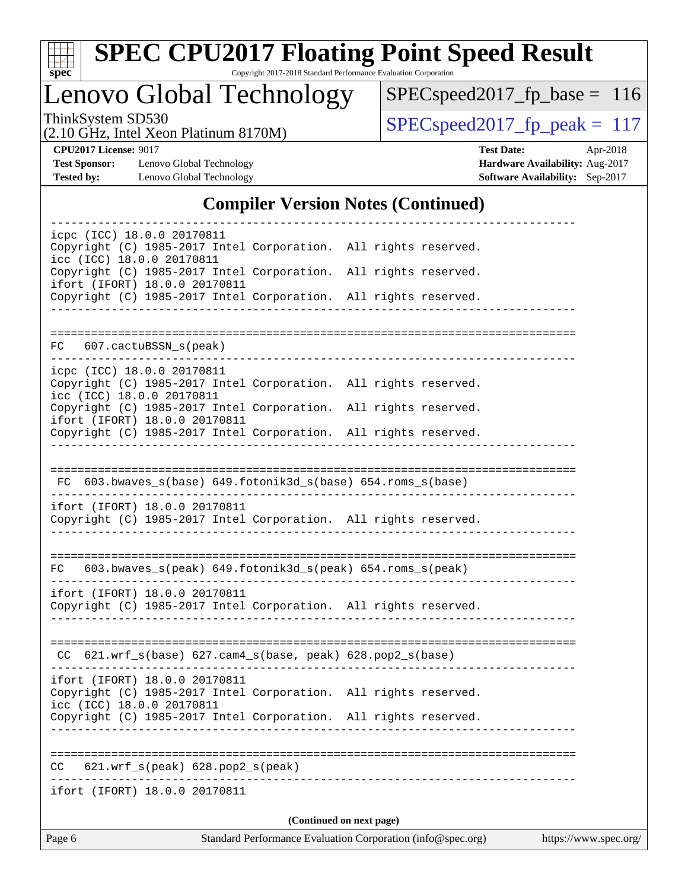

# **[SPEC CPU2017 Floating Point Speed Result](http://www.spec.org/auto/cpu2017/Docs/result-fields.html#SPECCPU2017FloatingPointSpeedResult)**

Copyright 2017-2018 Standard Performance Evaluation Corporation

Lenovo Global Technology

[SPECspeed2017\\_fp\\_base =](http://www.spec.org/auto/cpu2017/Docs/result-fields.html#SPECspeed2017fpbase) 116

(2.10 GHz, Intel Xeon Platinum 8170M)

ThinkSystem SD530<br>  $(2.10 \text{ GHz})$  Intel Xeon Platinum 8170M) [SPECspeed2017\\_fp\\_peak =](http://www.spec.org/auto/cpu2017/Docs/result-fields.html#SPECspeed2017fppeak) 117

**[Test Sponsor:](http://www.spec.org/auto/cpu2017/Docs/result-fields.html#TestSponsor)** Lenovo Global Technology **[Hardware Availability:](http://www.spec.org/auto/cpu2017/Docs/result-fields.html#HardwareAvailability)** Aug-2017 **[Tested by:](http://www.spec.org/auto/cpu2017/Docs/result-fields.html#Testedby)** Lenovo Global Technology **[Software Availability:](http://www.spec.org/auto/cpu2017/Docs/result-fields.html#SoftwareAvailability)** Sep-2017

**[CPU2017 License:](http://www.spec.org/auto/cpu2017/Docs/result-fields.html#CPU2017License)** 9017 **[Test Date:](http://www.spec.org/auto/cpu2017/Docs/result-fields.html#TestDate)** Apr-2018

#### **[Compiler Version Notes \(Continued\)](http://www.spec.org/auto/cpu2017/Docs/result-fields.html#CompilerVersionNotes)**

| Page 6                                                     |                                                                                                                                    | Standard Performance Evaluation Corporation (info@spec.org) | https://www.spec.org/ |
|------------------------------------------------------------|------------------------------------------------------------------------------------------------------------------------------------|-------------------------------------------------------------|-----------------------|
|                                                            |                                                                                                                                    | (Continued on next page)                                    |                       |
| ifort (IFORT) 18.0.0 20170811                              |                                                                                                                                    | ------------------------------------                        |                       |
| CC                                                         | 621.wrf_s(peak) 628.pop2_s(peak)                                                                                                   |                                                             |                       |
|                                                            | Copyright (C) 1985-2017 Intel Corporation. All rights reserved.                                                                    |                                                             |                       |
| ifort (IFORT) 18.0.0 20170811<br>icc (ICC) 18.0.0 20170811 | Copyright (C) 1985-2017 Intel Corporation. All rights reserved.                                                                    |                                                             |                       |
|                                                            | $CC$ 621.wrf_s(base) 627.cam4_s(base, peak) 628.pop2_s(base)                                                                       |                                                             |                       |
| ifort (IFORT) 18.0.0 20170811                              | Copyright (C) 1985-2017 Intel Corporation. All rights reserved.                                                                    |                                                             |                       |
| FC                                                         | 603.bwaves_s(peak) 649.fotonik3d_s(peak) 654.roms_s(peak)                                                                          |                                                             |                       |
| ifort (IFORT) 18.0.0 20170811                              | Copyright (C) 1985-2017 Intel Corporation. All rights reserved.                                                                    |                                                             |                       |
|                                                            | FC 603.bwaves_s(base) 649.fotonik3d_s(base) 654.roms_s(base)                                                                       |                                                             |                       |
|                                                            |                                                                                                                                    |                                                             |                       |
| ifort (IFORT) 18.0.0 20170811                              | Copyright (C) 1985-2017 Intel Corporation. All rights reserved.                                                                    |                                                             |                       |
| icpc (ICC) 18.0.0 20170811<br>icc (ICC) 18.0.0 20170811    | Copyright (C) 1985-2017 Intel Corporation. All rights reserved.<br>Copyright (C) 1985-2017 Intel Corporation. All rights reserved. |                                                             |                       |
| FC 607.cactuBSSN_s(peak)                                   |                                                                                                                                    |                                                             |                       |
|                                                            | Copyright (C) 1985-2017 Intel Corporation. All rights reserved.                                                                    |                                                             |                       |
| ifort (IFORT) 18.0.0 20170811                              | Copyright (C) 1985-2017 Intel Corporation. All rights reserved.                                                                    |                                                             |                       |
| icpc (ICC) 18.0.0 20170811<br>icc (ICC) 18.0.0 20170811    | Copyright (C) 1985-2017 Intel Corporation. All rights reserved.                                                                    |                                                             |                       |
|                                                            |                                                                                                                                    |                                                             |                       |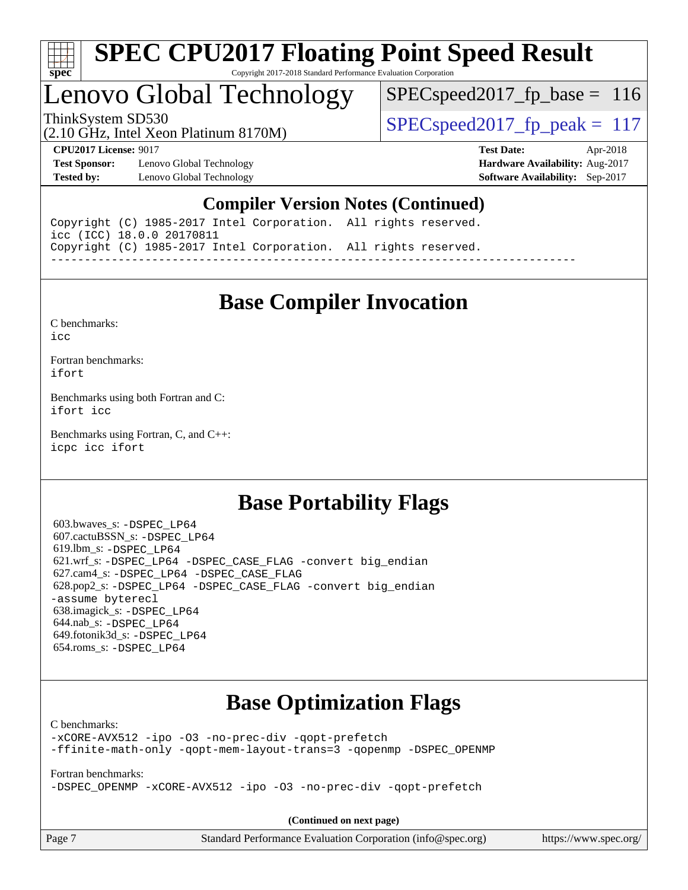

# Lenovo Global Technology

SPECspeed2017 fp base =  $116$ 

(2.10 GHz, Intel Xeon Platinum 8170M)

ThinkSystem SD530  $SPEC speed2017$  fp\_peak = 117

**[Test Sponsor:](http://www.spec.org/auto/cpu2017/Docs/result-fields.html#TestSponsor)** Lenovo Global Technology **[Hardware Availability:](http://www.spec.org/auto/cpu2017/Docs/result-fields.html#HardwareAvailability)** Aug-2017 **[Tested by:](http://www.spec.org/auto/cpu2017/Docs/result-fields.html#Testedby)** Lenovo Global Technology **[Software Availability:](http://www.spec.org/auto/cpu2017/Docs/result-fields.html#SoftwareAvailability)** Sep-2017

**[CPU2017 License:](http://www.spec.org/auto/cpu2017/Docs/result-fields.html#CPU2017License)** 9017 **[Test Date:](http://www.spec.org/auto/cpu2017/Docs/result-fields.html#TestDate)** Apr-2018

#### **[Compiler Version Notes \(Continued\)](http://www.spec.org/auto/cpu2017/Docs/result-fields.html#CompilerVersionNotes)**

Copyright (C) 1985-2017 Intel Corporation. All rights reserved. icc (ICC) 18.0.0 20170811 Copyright (C) 1985-2017 Intel Corporation. All rights reserved. ------------------------------------------------------------------------------

### **[Base Compiler Invocation](http://www.spec.org/auto/cpu2017/Docs/result-fields.html#BaseCompilerInvocation)**

[C benchmarks](http://www.spec.org/auto/cpu2017/Docs/result-fields.html#Cbenchmarks):

[icc](http://www.spec.org/cpu2017/results/res2018q2/cpu2017-20180514-05654.flags.html#user_CCbase_intel_icc_18.0_66fc1ee009f7361af1fbd72ca7dcefbb700085f36577c54f309893dd4ec40d12360134090235512931783d35fd58c0460139e722d5067c5574d8eaf2b3e37e92)

[Fortran benchmarks](http://www.spec.org/auto/cpu2017/Docs/result-fields.html#Fortranbenchmarks): [ifort](http://www.spec.org/cpu2017/results/res2018q2/cpu2017-20180514-05654.flags.html#user_FCbase_intel_ifort_18.0_8111460550e3ca792625aed983ce982f94888b8b503583aa7ba2b8303487b4d8a21a13e7191a45c5fd58ff318f48f9492884d4413fa793fd88dd292cad7027ca)

[Benchmarks using both Fortran and C](http://www.spec.org/auto/cpu2017/Docs/result-fields.html#BenchmarksusingbothFortranandC): [ifort](http://www.spec.org/cpu2017/results/res2018q2/cpu2017-20180514-05654.flags.html#user_CC_FCbase_intel_ifort_18.0_8111460550e3ca792625aed983ce982f94888b8b503583aa7ba2b8303487b4d8a21a13e7191a45c5fd58ff318f48f9492884d4413fa793fd88dd292cad7027ca) [icc](http://www.spec.org/cpu2017/results/res2018q2/cpu2017-20180514-05654.flags.html#user_CC_FCbase_intel_icc_18.0_66fc1ee009f7361af1fbd72ca7dcefbb700085f36577c54f309893dd4ec40d12360134090235512931783d35fd58c0460139e722d5067c5574d8eaf2b3e37e92)

[Benchmarks using Fortran, C, and C++:](http://www.spec.org/auto/cpu2017/Docs/result-fields.html#BenchmarksusingFortranCandCXX) [icpc](http://www.spec.org/cpu2017/results/res2018q2/cpu2017-20180514-05654.flags.html#user_CC_CXX_FCbase_intel_icpc_18.0_c510b6838c7f56d33e37e94d029a35b4a7bccf4766a728ee175e80a419847e808290a9b78be685c44ab727ea267ec2f070ec5dc83b407c0218cded6866a35d07) [icc](http://www.spec.org/cpu2017/results/res2018q2/cpu2017-20180514-05654.flags.html#user_CC_CXX_FCbase_intel_icc_18.0_66fc1ee009f7361af1fbd72ca7dcefbb700085f36577c54f309893dd4ec40d12360134090235512931783d35fd58c0460139e722d5067c5574d8eaf2b3e37e92) [ifort](http://www.spec.org/cpu2017/results/res2018q2/cpu2017-20180514-05654.flags.html#user_CC_CXX_FCbase_intel_ifort_18.0_8111460550e3ca792625aed983ce982f94888b8b503583aa7ba2b8303487b4d8a21a13e7191a45c5fd58ff318f48f9492884d4413fa793fd88dd292cad7027ca)

### **[Base Portability Flags](http://www.spec.org/auto/cpu2017/Docs/result-fields.html#BasePortabilityFlags)**

 603.bwaves\_s: [-DSPEC\\_LP64](http://www.spec.org/cpu2017/results/res2018q2/cpu2017-20180514-05654.flags.html#suite_basePORTABILITY603_bwaves_s_DSPEC_LP64) 607.cactuBSSN\_s: [-DSPEC\\_LP64](http://www.spec.org/cpu2017/results/res2018q2/cpu2017-20180514-05654.flags.html#suite_basePORTABILITY607_cactuBSSN_s_DSPEC_LP64) 619.lbm\_s: [-DSPEC\\_LP64](http://www.spec.org/cpu2017/results/res2018q2/cpu2017-20180514-05654.flags.html#suite_basePORTABILITY619_lbm_s_DSPEC_LP64) 621.wrf\_s: [-DSPEC\\_LP64](http://www.spec.org/cpu2017/results/res2018q2/cpu2017-20180514-05654.flags.html#suite_basePORTABILITY621_wrf_s_DSPEC_LP64) [-DSPEC\\_CASE\\_FLAG](http://www.spec.org/cpu2017/results/res2018q2/cpu2017-20180514-05654.flags.html#b621.wrf_s_baseCPORTABILITY_DSPEC_CASE_FLAG) [-convert big\\_endian](http://www.spec.org/cpu2017/results/res2018q2/cpu2017-20180514-05654.flags.html#user_baseFPORTABILITY621_wrf_s_convert_big_endian_c3194028bc08c63ac5d04de18c48ce6d347e4e562e8892b8bdbdc0214820426deb8554edfa529a3fb25a586e65a3d812c835984020483e7e73212c4d31a38223) 627.cam4\_s: [-DSPEC\\_LP64](http://www.spec.org/cpu2017/results/res2018q2/cpu2017-20180514-05654.flags.html#suite_basePORTABILITY627_cam4_s_DSPEC_LP64) [-DSPEC\\_CASE\\_FLAG](http://www.spec.org/cpu2017/results/res2018q2/cpu2017-20180514-05654.flags.html#b627.cam4_s_baseCPORTABILITY_DSPEC_CASE_FLAG) 628.pop2\_s: [-DSPEC\\_LP64](http://www.spec.org/cpu2017/results/res2018q2/cpu2017-20180514-05654.flags.html#suite_basePORTABILITY628_pop2_s_DSPEC_LP64) [-DSPEC\\_CASE\\_FLAG](http://www.spec.org/cpu2017/results/res2018q2/cpu2017-20180514-05654.flags.html#b628.pop2_s_baseCPORTABILITY_DSPEC_CASE_FLAG) [-convert big\\_endian](http://www.spec.org/cpu2017/results/res2018q2/cpu2017-20180514-05654.flags.html#user_baseFPORTABILITY628_pop2_s_convert_big_endian_c3194028bc08c63ac5d04de18c48ce6d347e4e562e8892b8bdbdc0214820426deb8554edfa529a3fb25a586e65a3d812c835984020483e7e73212c4d31a38223) [-assume byterecl](http://www.spec.org/cpu2017/results/res2018q2/cpu2017-20180514-05654.flags.html#user_baseFPORTABILITY628_pop2_s_assume_byterecl_7e47d18b9513cf18525430bbf0f2177aa9bf368bc7a059c09b2c06a34b53bd3447c950d3f8d6c70e3faf3a05c8557d66a5798b567902e8849adc142926523472) 638.imagick\_s: [-DSPEC\\_LP64](http://www.spec.org/cpu2017/results/res2018q2/cpu2017-20180514-05654.flags.html#suite_basePORTABILITY638_imagick_s_DSPEC_LP64) 644.nab\_s: [-DSPEC\\_LP64](http://www.spec.org/cpu2017/results/res2018q2/cpu2017-20180514-05654.flags.html#suite_basePORTABILITY644_nab_s_DSPEC_LP64) 649.fotonik3d\_s: [-DSPEC\\_LP64](http://www.spec.org/cpu2017/results/res2018q2/cpu2017-20180514-05654.flags.html#suite_basePORTABILITY649_fotonik3d_s_DSPEC_LP64) 654.roms\_s: [-DSPEC\\_LP64](http://www.spec.org/cpu2017/results/res2018q2/cpu2017-20180514-05654.flags.html#suite_basePORTABILITY654_roms_s_DSPEC_LP64)

# **[Base Optimization Flags](http://www.spec.org/auto/cpu2017/Docs/result-fields.html#BaseOptimizationFlags)**

[C benchmarks](http://www.spec.org/auto/cpu2017/Docs/result-fields.html#Cbenchmarks):

[-xCORE-AVX512](http://www.spec.org/cpu2017/results/res2018q2/cpu2017-20180514-05654.flags.html#user_CCbase_f-xCORE-AVX512) [-ipo](http://www.spec.org/cpu2017/results/res2018q2/cpu2017-20180514-05654.flags.html#user_CCbase_f-ipo) [-O3](http://www.spec.org/cpu2017/results/res2018q2/cpu2017-20180514-05654.flags.html#user_CCbase_f-O3) [-no-prec-div](http://www.spec.org/cpu2017/results/res2018q2/cpu2017-20180514-05654.flags.html#user_CCbase_f-no-prec-div) [-qopt-prefetch](http://www.spec.org/cpu2017/results/res2018q2/cpu2017-20180514-05654.flags.html#user_CCbase_f-qopt-prefetch) [-ffinite-math-only](http://www.spec.org/cpu2017/results/res2018q2/cpu2017-20180514-05654.flags.html#user_CCbase_f_finite_math_only_cb91587bd2077682c4b38af759c288ed7c732db004271a9512da14a4f8007909a5f1427ecbf1a0fb78ff2a814402c6114ac565ca162485bbcae155b5e4258871) [-qopt-mem-layout-trans=3](http://www.spec.org/cpu2017/results/res2018q2/cpu2017-20180514-05654.flags.html#user_CCbase_f-qopt-mem-layout-trans_de80db37974c74b1f0e20d883f0b675c88c3b01e9d123adea9b28688d64333345fb62bc4a798493513fdb68f60282f9a726aa07f478b2f7113531aecce732043) [-qopenmp](http://www.spec.org/cpu2017/results/res2018q2/cpu2017-20180514-05654.flags.html#user_CCbase_qopenmp_16be0c44f24f464004c6784a7acb94aca937f053568ce72f94b139a11c7c168634a55f6653758ddd83bcf7b8463e8028bb0b48b77bcddc6b78d5d95bb1df2967) [-DSPEC\\_OPENMP](http://www.spec.org/cpu2017/results/res2018q2/cpu2017-20180514-05654.flags.html#suite_CCbase_DSPEC_OPENMP)

[Fortran benchmarks](http://www.spec.org/auto/cpu2017/Docs/result-fields.html#Fortranbenchmarks):

[-DSPEC\\_OPENMP](http://www.spec.org/cpu2017/results/res2018q2/cpu2017-20180514-05654.flags.html#suite_FCbase_DSPEC_OPENMP) [-xCORE-AVX512](http://www.spec.org/cpu2017/results/res2018q2/cpu2017-20180514-05654.flags.html#user_FCbase_f-xCORE-AVX512) [-ipo](http://www.spec.org/cpu2017/results/res2018q2/cpu2017-20180514-05654.flags.html#user_FCbase_f-ipo) [-O3](http://www.spec.org/cpu2017/results/res2018q2/cpu2017-20180514-05654.flags.html#user_FCbase_f-O3) [-no-prec-div](http://www.spec.org/cpu2017/results/res2018q2/cpu2017-20180514-05654.flags.html#user_FCbase_f-no-prec-div) [-qopt-prefetch](http://www.spec.org/cpu2017/results/res2018q2/cpu2017-20180514-05654.flags.html#user_FCbase_f-qopt-prefetch)

**(Continued on next page)**

Page 7 Standard Performance Evaluation Corporation [\(info@spec.org\)](mailto:info@spec.org) <https://www.spec.org/>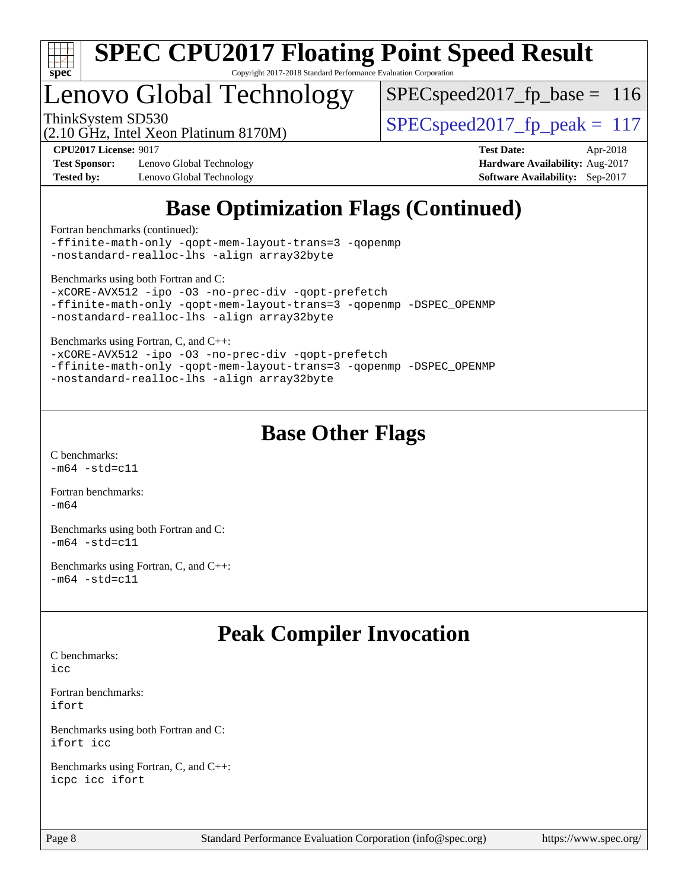

# Lenovo Global Technology

 $SPEC speed2017_fp\_base = 116$ 

(2.10 GHz, Intel Xeon Platinum 8170M)

ThinkSystem SD530  $SPEC speed2017$  fp\_peak = 117

**[Test Sponsor:](http://www.spec.org/auto/cpu2017/Docs/result-fields.html#TestSponsor)** Lenovo Global Technology **[Hardware Availability:](http://www.spec.org/auto/cpu2017/Docs/result-fields.html#HardwareAvailability)** Aug-2017 **[Tested by:](http://www.spec.org/auto/cpu2017/Docs/result-fields.html#Testedby)** Lenovo Global Technology **[Software Availability:](http://www.spec.org/auto/cpu2017/Docs/result-fields.html#SoftwareAvailability)** Sep-2017

**[CPU2017 License:](http://www.spec.org/auto/cpu2017/Docs/result-fields.html#CPU2017License)** 9017 **[Test Date:](http://www.spec.org/auto/cpu2017/Docs/result-fields.html#TestDate)** Apr-2018

# **[Base Optimization Flags \(Continued\)](http://www.spec.org/auto/cpu2017/Docs/result-fields.html#BaseOptimizationFlags)**

[Fortran benchmarks](http://www.spec.org/auto/cpu2017/Docs/result-fields.html#Fortranbenchmarks) (continued):

[-ffinite-math-only](http://www.spec.org/cpu2017/results/res2018q2/cpu2017-20180514-05654.flags.html#user_FCbase_f_finite_math_only_cb91587bd2077682c4b38af759c288ed7c732db004271a9512da14a4f8007909a5f1427ecbf1a0fb78ff2a814402c6114ac565ca162485bbcae155b5e4258871) [-qopt-mem-layout-trans=3](http://www.spec.org/cpu2017/results/res2018q2/cpu2017-20180514-05654.flags.html#user_FCbase_f-qopt-mem-layout-trans_de80db37974c74b1f0e20d883f0b675c88c3b01e9d123adea9b28688d64333345fb62bc4a798493513fdb68f60282f9a726aa07f478b2f7113531aecce732043) [-qopenmp](http://www.spec.org/cpu2017/results/res2018q2/cpu2017-20180514-05654.flags.html#user_FCbase_qopenmp_16be0c44f24f464004c6784a7acb94aca937f053568ce72f94b139a11c7c168634a55f6653758ddd83bcf7b8463e8028bb0b48b77bcddc6b78d5d95bb1df2967) [-nostandard-realloc-lhs](http://www.spec.org/cpu2017/results/res2018q2/cpu2017-20180514-05654.flags.html#user_FCbase_f_2003_std_realloc_82b4557e90729c0f113870c07e44d33d6f5a304b4f63d4c15d2d0f1fab99f5daaed73bdb9275d9ae411527f28b936061aa8b9c8f2d63842963b95c9dd6426b8a) [-align array32byte](http://www.spec.org/cpu2017/results/res2018q2/cpu2017-20180514-05654.flags.html#user_FCbase_align_array32byte_b982fe038af199962ba9a80c053b8342c548c85b40b8e86eb3cc33dee0d7986a4af373ac2d51c3f7cf710a18d62fdce2948f201cd044323541f22fc0fffc51b6)

[Benchmarks using both Fortran and C](http://www.spec.org/auto/cpu2017/Docs/result-fields.html#BenchmarksusingbothFortranandC):

```
-xCORE-AVX512 -ipo -O3 -no-prec-div -qopt-prefetch
-ffinite-math-only -qopt-mem-layout-trans=3 -qopenmp -DSPEC_OPENMP
-nostandard-realloc-lhs -align array32byte
```
[Benchmarks using Fortran, C, and C++:](http://www.spec.org/auto/cpu2017/Docs/result-fields.html#BenchmarksusingFortranCandCXX)

[-xCORE-AVX512](http://www.spec.org/cpu2017/results/res2018q2/cpu2017-20180514-05654.flags.html#user_CC_CXX_FCbase_f-xCORE-AVX512) [-ipo](http://www.spec.org/cpu2017/results/res2018q2/cpu2017-20180514-05654.flags.html#user_CC_CXX_FCbase_f-ipo) [-O3](http://www.spec.org/cpu2017/results/res2018q2/cpu2017-20180514-05654.flags.html#user_CC_CXX_FCbase_f-O3) [-no-prec-div](http://www.spec.org/cpu2017/results/res2018q2/cpu2017-20180514-05654.flags.html#user_CC_CXX_FCbase_f-no-prec-div) [-qopt-prefetch](http://www.spec.org/cpu2017/results/res2018q2/cpu2017-20180514-05654.flags.html#user_CC_CXX_FCbase_f-qopt-prefetch) [-ffinite-math-only](http://www.spec.org/cpu2017/results/res2018q2/cpu2017-20180514-05654.flags.html#user_CC_CXX_FCbase_f_finite_math_only_cb91587bd2077682c4b38af759c288ed7c732db004271a9512da14a4f8007909a5f1427ecbf1a0fb78ff2a814402c6114ac565ca162485bbcae155b5e4258871) [-qopt-mem-layout-trans=3](http://www.spec.org/cpu2017/results/res2018q2/cpu2017-20180514-05654.flags.html#user_CC_CXX_FCbase_f-qopt-mem-layout-trans_de80db37974c74b1f0e20d883f0b675c88c3b01e9d123adea9b28688d64333345fb62bc4a798493513fdb68f60282f9a726aa07f478b2f7113531aecce732043) [-qopenmp](http://www.spec.org/cpu2017/results/res2018q2/cpu2017-20180514-05654.flags.html#user_CC_CXX_FCbase_qopenmp_16be0c44f24f464004c6784a7acb94aca937f053568ce72f94b139a11c7c168634a55f6653758ddd83bcf7b8463e8028bb0b48b77bcddc6b78d5d95bb1df2967) [-DSPEC\\_OPENMP](http://www.spec.org/cpu2017/results/res2018q2/cpu2017-20180514-05654.flags.html#suite_CC_CXX_FCbase_DSPEC_OPENMP) [-nostandard-realloc-lhs](http://www.spec.org/cpu2017/results/res2018q2/cpu2017-20180514-05654.flags.html#user_CC_CXX_FCbase_f_2003_std_realloc_82b4557e90729c0f113870c07e44d33d6f5a304b4f63d4c15d2d0f1fab99f5daaed73bdb9275d9ae411527f28b936061aa8b9c8f2d63842963b95c9dd6426b8a) [-align array32byte](http://www.spec.org/cpu2017/results/res2018q2/cpu2017-20180514-05654.flags.html#user_CC_CXX_FCbase_align_array32byte_b982fe038af199962ba9a80c053b8342c548c85b40b8e86eb3cc33dee0d7986a4af373ac2d51c3f7cf710a18d62fdce2948f201cd044323541f22fc0fffc51b6)

# **[Base Other Flags](http://www.spec.org/auto/cpu2017/Docs/result-fields.html#BaseOtherFlags)**

[C benchmarks](http://www.spec.org/auto/cpu2017/Docs/result-fields.html#Cbenchmarks):  $-m64$   $-std=cl1$ 

[Fortran benchmarks](http://www.spec.org/auto/cpu2017/Docs/result-fields.html#Fortranbenchmarks):  $-m64$ 

[Benchmarks using both Fortran and C](http://www.spec.org/auto/cpu2017/Docs/result-fields.html#BenchmarksusingbothFortranandC):  $-m64 - std= c11$  $-m64 - std= c11$ 

[Benchmarks using Fortran, C, and C++:](http://www.spec.org/auto/cpu2017/Docs/result-fields.html#BenchmarksusingFortranCandCXX)  $-m64 - std= c11$  $-m64 - std= c11$ 

# **[Peak Compiler Invocation](http://www.spec.org/auto/cpu2017/Docs/result-fields.html#PeakCompilerInvocation)**

[C benchmarks](http://www.spec.org/auto/cpu2017/Docs/result-fields.html#Cbenchmarks):

[icc](http://www.spec.org/cpu2017/results/res2018q2/cpu2017-20180514-05654.flags.html#user_CCpeak_intel_icc_18.0_66fc1ee009f7361af1fbd72ca7dcefbb700085f36577c54f309893dd4ec40d12360134090235512931783d35fd58c0460139e722d5067c5574d8eaf2b3e37e92)

[Fortran benchmarks](http://www.spec.org/auto/cpu2017/Docs/result-fields.html#Fortranbenchmarks): [ifort](http://www.spec.org/cpu2017/results/res2018q2/cpu2017-20180514-05654.flags.html#user_FCpeak_intel_ifort_18.0_8111460550e3ca792625aed983ce982f94888b8b503583aa7ba2b8303487b4d8a21a13e7191a45c5fd58ff318f48f9492884d4413fa793fd88dd292cad7027ca)

[Benchmarks using both Fortran and C](http://www.spec.org/auto/cpu2017/Docs/result-fields.html#BenchmarksusingbothFortranandC): [ifort](http://www.spec.org/cpu2017/results/res2018q2/cpu2017-20180514-05654.flags.html#user_CC_FCpeak_intel_ifort_18.0_8111460550e3ca792625aed983ce982f94888b8b503583aa7ba2b8303487b4d8a21a13e7191a45c5fd58ff318f48f9492884d4413fa793fd88dd292cad7027ca) [icc](http://www.spec.org/cpu2017/results/res2018q2/cpu2017-20180514-05654.flags.html#user_CC_FCpeak_intel_icc_18.0_66fc1ee009f7361af1fbd72ca7dcefbb700085f36577c54f309893dd4ec40d12360134090235512931783d35fd58c0460139e722d5067c5574d8eaf2b3e37e92)

[Benchmarks using Fortran, C, and C++:](http://www.spec.org/auto/cpu2017/Docs/result-fields.html#BenchmarksusingFortranCandCXX) [icpc](http://www.spec.org/cpu2017/results/res2018q2/cpu2017-20180514-05654.flags.html#user_CC_CXX_FCpeak_intel_icpc_18.0_c510b6838c7f56d33e37e94d029a35b4a7bccf4766a728ee175e80a419847e808290a9b78be685c44ab727ea267ec2f070ec5dc83b407c0218cded6866a35d07) [icc](http://www.spec.org/cpu2017/results/res2018q2/cpu2017-20180514-05654.flags.html#user_CC_CXX_FCpeak_intel_icc_18.0_66fc1ee009f7361af1fbd72ca7dcefbb700085f36577c54f309893dd4ec40d12360134090235512931783d35fd58c0460139e722d5067c5574d8eaf2b3e37e92) [ifort](http://www.spec.org/cpu2017/results/res2018q2/cpu2017-20180514-05654.flags.html#user_CC_CXX_FCpeak_intel_ifort_18.0_8111460550e3ca792625aed983ce982f94888b8b503583aa7ba2b8303487b4d8a21a13e7191a45c5fd58ff318f48f9492884d4413fa793fd88dd292cad7027ca)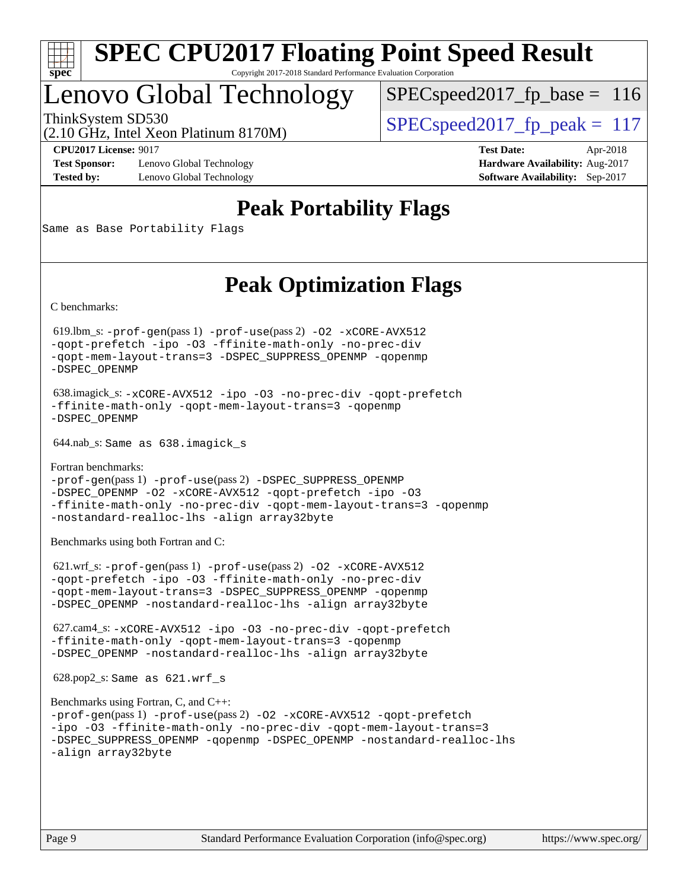

# Lenovo Global Technology

 $SPECspeed2017_fp\_base = 116$ 

(2.10 GHz, Intel Xeon Platinum 8170M)

ThinkSystem SD530  $SPEC speed2017$  fp\_peak = 117

**[Test Sponsor:](http://www.spec.org/auto/cpu2017/Docs/result-fields.html#TestSponsor)** Lenovo Global Technology **[Hardware Availability:](http://www.spec.org/auto/cpu2017/Docs/result-fields.html#HardwareAvailability)** Aug-2017 **[Tested by:](http://www.spec.org/auto/cpu2017/Docs/result-fields.html#Testedby)** Lenovo Global Technology **[Software Availability:](http://www.spec.org/auto/cpu2017/Docs/result-fields.html#SoftwareAvailability)** Sep-2017

**[CPU2017 License:](http://www.spec.org/auto/cpu2017/Docs/result-fields.html#CPU2017License)** 9017 **[Test Date:](http://www.spec.org/auto/cpu2017/Docs/result-fields.html#TestDate)** Apr-2018

# **[Peak Portability Flags](http://www.spec.org/auto/cpu2017/Docs/result-fields.html#PeakPortabilityFlags)**

Same as Base Portability Flags

# **[Peak Optimization Flags](http://www.spec.org/auto/cpu2017/Docs/result-fields.html#PeakOptimizationFlags)**

[C benchmarks](http://www.spec.org/auto/cpu2017/Docs/result-fields.html#Cbenchmarks):

 619.lbm\_s: [-prof-gen](http://www.spec.org/cpu2017/results/res2018q2/cpu2017-20180514-05654.flags.html#user_peakPASS1_CFLAGSPASS1_LDFLAGS619_lbm_s_prof_gen_5aa4926d6013ddb2a31985c654b3eb18169fc0c6952a63635c234f711e6e63dd76e94ad52365559451ec499a2cdb89e4dc58ba4c67ef54ca681ffbe1461d6b36)(pass 1) [-prof-use](http://www.spec.org/cpu2017/results/res2018q2/cpu2017-20180514-05654.flags.html#user_peakPASS2_CFLAGSPASS2_LDFLAGS619_lbm_s_prof_use_1a21ceae95f36a2b53c25747139a6c16ca95bd9def2a207b4f0849963b97e94f5260e30a0c64f4bb623698870e679ca08317ef8150905d41bd88c6f78df73f19)(pass 2) [-O2](http://www.spec.org/cpu2017/results/res2018q2/cpu2017-20180514-05654.flags.html#user_peakPASS1_COPTIMIZE619_lbm_s_f-O2) [-xCORE-AVX512](http://www.spec.org/cpu2017/results/res2018q2/cpu2017-20180514-05654.flags.html#user_peakPASS2_COPTIMIZE619_lbm_s_f-xCORE-AVX512) [-qopt-prefetch](http://www.spec.org/cpu2017/results/res2018q2/cpu2017-20180514-05654.flags.html#user_peakPASS1_COPTIMIZEPASS2_COPTIMIZE619_lbm_s_f-qopt-prefetch) [-ipo](http://www.spec.org/cpu2017/results/res2018q2/cpu2017-20180514-05654.flags.html#user_peakPASS2_COPTIMIZE619_lbm_s_f-ipo) [-O3](http://www.spec.org/cpu2017/results/res2018q2/cpu2017-20180514-05654.flags.html#user_peakPASS2_COPTIMIZE619_lbm_s_f-O3) [-ffinite-math-only](http://www.spec.org/cpu2017/results/res2018q2/cpu2017-20180514-05654.flags.html#user_peakPASS1_COPTIMIZEPASS2_COPTIMIZE619_lbm_s_f_finite_math_only_cb91587bd2077682c4b38af759c288ed7c732db004271a9512da14a4f8007909a5f1427ecbf1a0fb78ff2a814402c6114ac565ca162485bbcae155b5e4258871) [-no-prec-div](http://www.spec.org/cpu2017/results/res2018q2/cpu2017-20180514-05654.flags.html#user_peakPASS2_COPTIMIZE619_lbm_s_f-no-prec-div) [-qopt-mem-layout-trans=3](http://www.spec.org/cpu2017/results/res2018q2/cpu2017-20180514-05654.flags.html#user_peakPASS1_COPTIMIZEPASS2_COPTIMIZE619_lbm_s_f-qopt-mem-layout-trans_de80db37974c74b1f0e20d883f0b675c88c3b01e9d123adea9b28688d64333345fb62bc4a798493513fdb68f60282f9a726aa07f478b2f7113531aecce732043) [-DSPEC\\_SUPPRESS\\_OPENMP](http://www.spec.org/cpu2017/results/res2018q2/cpu2017-20180514-05654.flags.html#suite_peakPASS1_COPTIMIZE619_lbm_s_DSPEC_SUPPRESS_OPENMP) [-qopenmp](http://www.spec.org/cpu2017/results/res2018q2/cpu2017-20180514-05654.flags.html#user_peakPASS2_COPTIMIZE619_lbm_s_qopenmp_16be0c44f24f464004c6784a7acb94aca937f053568ce72f94b139a11c7c168634a55f6653758ddd83bcf7b8463e8028bb0b48b77bcddc6b78d5d95bb1df2967) [-DSPEC\\_OPENMP](http://www.spec.org/cpu2017/results/res2018q2/cpu2017-20180514-05654.flags.html#suite_peakPASS2_COPTIMIZE619_lbm_s_DSPEC_OPENMP)

 638.imagick\_s: [-xCORE-AVX512](http://www.spec.org/cpu2017/results/res2018q2/cpu2017-20180514-05654.flags.html#user_peakCOPTIMIZE638_imagick_s_f-xCORE-AVX512) [-ipo](http://www.spec.org/cpu2017/results/res2018q2/cpu2017-20180514-05654.flags.html#user_peakCOPTIMIZE638_imagick_s_f-ipo) [-O3](http://www.spec.org/cpu2017/results/res2018q2/cpu2017-20180514-05654.flags.html#user_peakCOPTIMIZE638_imagick_s_f-O3) [-no-prec-div](http://www.spec.org/cpu2017/results/res2018q2/cpu2017-20180514-05654.flags.html#user_peakCOPTIMIZE638_imagick_s_f-no-prec-div) [-qopt-prefetch](http://www.spec.org/cpu2017/results/res2018q2/cpu2017-20180514-05654.flags.html#user_peakCOPTIMIZE638_imagick_s_f-qopt-prefetch) [-ffinite-math-only](http://www.spec.org/cpu2017/results/res2018q2/cpu2017-20180514-05654.flags.html#user_peakCOPTIMIZE638_imagick_s_f_finite_math_only_cb91587bd2077682c4b38af759c288ed7c732db004271a9512da14a4f8007909a5f1427ecbf1a0fb78ff2a814402c6114ac565ca162485bbcae155b5e4258871) [-qopt-mem-layout-trans=3](http://www.spec.org/cpu2017/results/res2018q2/cpu2017-20180514-05654.flags.html#user_peakCOPTIMIZE638_imagick_s_f-qopt-mem-layout-trans_de80db37974c74b1f0e20d883f0b675c88c3b01e9d123adea9b28688d64333345fb62bc4a798493513fdb68f60282f9a726aa07f478b2f7113531aecce732043) [-qopenmp](http://www.spec.org/cpu2017/results/res2018q2/cpu2017-20180514-05654.flags.html#user_peakCOPTIMIZE638_imagick_s_qopenmp_16be0c44f24f464004c6784a7acb94aca937f053568ce72f94b139a11c7c168634a55f6653758ddd83bcf7b8463e8028bb0b48b77bcddc6b78d5d95bb1df2967) [-DSPEC\\_OPENMP](http://www.spec.org/cpu2017/results/res2018q2/cpu2017-20180514-05654.flags.html#suite_peakCOPTIMIZE638_imagick_s_DSPEC_OPENMP)

644.nab\_s: Same as 638.imagick\_s

[Fortran benchmarks](http://www.spec.org/auto/cpu2017/Docs/result-fields.html#Fortranbenchmarks): [-prof-gen](http://www.spec.org/cpu2017/results/res2018q2/cpu2017-20180514-05654.flags.html#user_FCpeak_prof_gen_5aa4926d6013ddb2a31985c654b3eb18169fc0c6952a63635c234f711e6e63dd76e94ad52365559451ec499a2cdb89e4dc58ba4c67ef54ca681ffbe1461d6b36)(pass 1) [-prof-use](http://www.spec.org/cpu2017/results/res2018q2/cpu2017-20180514-05654.flags.html#user_FCpeak_prof_use_1a21ceae95f36a2b53c25747139a6c16ca95bd9def2a207b4f0849963b97e94f5260e30a0c64f4bb623698870e679ca08317ef8150905d41bd88c6f78df73f19)(pass 2) [-DSPEC\\_SUPPRESS\\_OPENMP](http://www.spec.org/cpu2017/results/res2018q2/cpu2017-20180514-05654.flags.html#suite_FCpeak_DSPEC_SUPPRESS_OPENMP) [-DSPEC\\_OPENMP](http://www.spec.org/cpu2017/results/res2018q2/cpu2017-20180514-05654.flags.html#suite_FCpeak_DSPEC_OPENMP) [-O2](http://www.spec.org/cpu2017/results/res2018q2/cpu2017-20180514-05654.flags.html#user_FCpeak_f-O2) [-xCORE-AVX512](http://www.spec.org/cpu2017/results/res2018q2/cpu2017-20180514-05654.flags.html#user_FCpeak_f-xCORE-AVX512) [-qopt-prefetch](http://www.spec.org/cpu2017/results/res2018q2/cpu2017-20180514-05654.flags.html#user_FCpeak_f-qopt-prefetch) [-ipo](http://www.spec.org/cpu2017/results/res2018q2/cpu2017-20180514-05654.flags.html#user_FCpeak_f-ipo) [-O3](http://www.spec.org/cpu2017/results/res2018q2/cpu2017-20180514-05654.flags.html#user_FCpeak_f-O3) [-ffinite-math-only](http://www.spec.org/cpu2017/results/res2018q2/cpu2017-20180514-05654.flags.html#user_FCpeak_f_finite_math_only_cb91587bd2077682c4b38af759c288ed7c732db004271a9512da14a4f8007909a5f1427ecbf1a0fb78ff2a814402c6114ac565ca162485bbcae155b5e4258871) [-no-prec-div](http://www.spec.org/cpu2017/results/res2018q2/cpu2017-20180514-05654.flags.html#user_FCpeak_f-no-prec-div) [-qopt-mem-layout-trans=3](http://www.spec.org/cpu2017/results/res2018q2/cpu2017-20180514-05654.flags.html#user_FCpeak_f-qopt-mem-layout-trans_de80db37974c74b1f0e20d883f0b675c88c3b01e9d123adea9b28688d64333345fb62bc4a798493513fdb68f60282f9a726aa07f478b2f7113531aecce732043) [-qopenmp](http://www.spec.org/cpu2017/results/res2018q2/cpu2017-20180514-05654.flags.html#user_FCpeak_qopenmp_16be0c44f24f464004c6784a7acb94aca937f053568ce72f94b139a11c7c168634a55f6653758ddd83bcf7b8463e8028bb0b48b77bcddc6b78d5d95bb1df2967) [-nostandard-realloc-lhs](http://www.spec.org/cpu2017/results/res2018q2/cpu2017-20180514-05654.flags.html#user_FCpeak_f_2003_std_realloc_82b4557e90729c0f113870c07e44d33d6f5a304b4f63d4c15d2d0f1fab99f5daaed73bdb9275d9ae411527f28b936061aa8b9c8f2d63842963b95c9dd6426b8a) [-align array32byte](http://www.spec.org/cpu2017/results/res2018q2/cpu2017-20180514-05654.flags.html#user_FCpeak_align_array32byte_b982fe038af199962ba9a80c053b8342c548c85b40b8e86eb3cc33dee0d7986a4af373ac2d51c3f7cf710a18d62fdce2948f201cd044323541f22fc0fffc51b6)

[Benchmarks using both Fortran and C](http://www.spec.org/auto/cpu2017/Docs/result-fields.html#BenchmarksusingbothFortranandC):

 621.wrf\_s: [-prof-gen](http://www.spec.org/cpu2017/results/res2018q2/cpu2017-20180514-05654.flags.html#user_peakPASS1_CFLAGSPASS1_FFLAGSPASS1_LDFLAGS621_wrf_s_prof_gen_5aa4926d6013ddb2a31985c654b3eb18169fc0c6952a63635c234f711e6e63dd76e94ad52365559451ec499a2cdb89e4dc58ba4c67ef54ca681ffbe1461d6b36)(pass 1) [-prof-use](http://www.spec.org/cpu2017/results/res2018q2/cpu2017-20180514-05654.flags.html#user_peakPASS2_CFLAGSPASS2_FFLAGSPASS2_LDFLAGS621_wrf_s_prof_use_1a21ceae95f36a2b53c25747139a6c16ca95bd9def2a207b4f0849963b97e94f5260e30a0c64f4bb623698870e679ca08317ef8150905d41bd88c6f78df73f19)(pass 2) [-O2](http://www.spec.org/cpu2017/results/res2018q2/cpu2017-20180514-05654.flags.html#user_peakPASS1_COPTIMIZEPASS1_FOPTIMIZE621_wrf_s_f-O2) [-xCORE-AVX512](http://www.spec.org/cpu2017/results/res2018q2/cpu2017-20180514-05654.flags.html#user_peakPASS2_COPTIMIZEPASS2_FOPTIMIZE621_wrf_s_f-xCORE-AVX512) [-qopt-prefetch](http://www.spec.org/cpu2017/results/res2018q2/cpu2017-20180514-05654.flags.html#user_peakPASS1_COPTIMIZEPASS1_FOPTIMIZEPASS2_COPTIMIZEPASS2_FOPTIMIZE621_wrf_s_f-qopt-prefetch) [-ipo](http://www.spec.org/cpu2017/results/res2018q2/cpu2017-20180514-05654.flags.html#user_peakPASS2_COPTIMIZEPASS2_FOPTIMIZE621_wrf_s_f-ipo) [-O3](http://www.spec.org/cpu2017/results/res2018q2/cpu2017-20180514-05654.flags.html#user_peakPASS2_COPTIMIZEPASS2_FOPTIMIZE621_wrf_s_f-O3) [-ffinite-math-only](http://www.spec.org/cpu2017/results/res2018q2/cpu2017-20180514-05654.flags.html#user_peakPASS1_COPTIMIZEPASS1_FOPTIMIZEPASS2_COPTIMIZEPASS2_FOPTIMIZE621_wrf_s_f_finite_math_only_cb91587bd2077682c4b38af759c288ed7c732db004271a9512da14a4f8007909a5f1427ecbf1a0fb78ff2a814402c6114ac565ca162485bbcae155b5e4258871) [-no-prec-div](http://www.spec.org/cpu2017/results/res2018q2/cpu2017-20180514-05654.flags.html#user_peakPASS2_COPTIMIZEPASS2_FOPTIMIZE621_wrf_s_f-no-prec-div) [-qopt-mem-layout-trans=3](http://www.spec.org/cpu2017/results/res2018q2/cpu2017-20180514-05654.flags.html#user_peakPASS1_COPTIMIZEPASS1_FOPTIMIZEPASS2_COPTIMIZEPASS2_FOPTIMIZE621_wrf_s_f-qopt-mem-layout-trans_de80db37974c74b1f0e20d883f0b675c88c3b01e9d123adea9b28688d64333345fb62bc4a798493513fdb68f60282f9a726aa07f478b2f7113531aecce732043) [-DSPEC\\_SUPPRESS\\_OPENMP](http://www.spec.org/cpu2017/results/res2018q2/cpu2017-20180514-05654.flags.html#suite_peakPASS1_COPTIMIZEPASS1_FOPTIMIZE621_wrf_s_DSPEC_SUPPRESS_OPENMP) [-qopenmp](http://www.spec.org/cpu2017/results/res2018q2/cpu2017-20180514-05654.flags.html#user_peakPASS2_COPTIMIZEPASS2_FOPTIMIZE621_wrf_s_qopenmp_16be0c44f24f464004c6784a7acb94aca937f053568ce72f94b139a11c7c168634a55f6653758ddd83bcf7b8463e8028bb0b48b77bcddc6b78d5d95bb1df2967) [-DSPEC\\_OPENMP](http://www.spec.org/cpu2017/results/res2018q2/cpu2017-20180514-05654.flags.html#suite_peakPASS2_COPTIMIZEPASS2_FOPTIMIZE621_wrf_s_DSPEC_OPENMP) [-nostandard-realloc-lhs](http://www.spec.org/cpu2017/results/res2018q2/cpu2017-20180514-05654.flags.html#user_peakEXTRA_FOPTIMIZE621_wrf_s_f_2003_std_realloc_82b4557e90729c0f113870c07e44d33d6f5a304b4f63d4c15d2d0f1fab99f5daaed73bdb9275d9ae411527f28b936061aa8b9c8f2d63842963b95c9dd6426b8a) [-align array32byte](http://www.spec.org/cpu2017/results/res2018q2/cpu2017-20180514-05654.flags.html#user_peakEXTRA_FOPTIMIZE621_wrf_s_align_array32byte_b982fe038af199962ba9a80c053b8342c548c85b40b8e86eb3cc33dee0d7986a4af373ac2d51c3f7cf710a18d62fdce2948f201cd044323541f22fc0fffc51b6)

 627.cam4\_s: [-xCORE-AVX512](http://www.spec.org/cpu2017/results/res2018q2/cpu2017-20180514-05654.flags.html#user_peakCOPTIMIZEFOPTIMIZE627_cam4_s_f-xCORE-AVX512) [-ipo](http://www.spec.org/cpu2017/results/res2018q2/cpu2017-20180514-05654.flags.html#user_peakCOPTIMIZEFOPTIMIZE627_cam4_s_f-ipo) [-O3](http://www.spec.org/cpu2017/results/res2018q2/cpu2017-20180514-05654.flags.html#user_peakCOPTIMIZEFOPTIMIZE627_cam4_s_f-O3) [-no-prec-div](http://www.spec.org/cpu2017/results/res2018q2/cpu2017-20180514-05654.flags.html#user_peakCOPTIMIZEFOPTIMIZE627_cam4_s_f-no-prec-div) [-qopt-prefetch](http://www.spec.org/cpu2017/results/res2018q2/cpu2017-20180514-05654.flags.html#user_peakCOPTIMIZEFOPTIMIZE627_cam4_s_f-qopt-prefetch) [-ffinite-math-only](http://www.spec.org/cpu2017/results/res2018q2/cpu2017-20180514-05654.flags.html#user_peakCOPTIMIZEFOPTIMIZE627_cam4_s_f_finite_math_only_cb91587bd2077682c4b38af759c288ed7c732db004271a9512da14a4f8007909a5f1427ecbf1a0fb78ff2a814402c6114ac565ca162485bbcae155b5e4258871) [-qopt-mem-layout-trans=3](http://www.spec.org/cpu2017/results/res2018q2/cpu2017-20180514-05654.flags.html#user_peakCOPTIMIZEFOPTIMIZE627_cam4_s_f-qopt-mem-layout-trans_de80db37974c74b1f0e20d883f0b675c88c3b01e9d123adea9b28688d64333345fb62bc4a798493513fdb68f60282f9a726aa07f478b2f7113531aecce732043) [-qopenmp](http://www.spec.org/cpu2017/results/res2018q2/cpu2017-20180514-05654.flags.html#user_peakCOPTIMIZEFOPTIMIZE627_cam4_s_qopenmp_16be0c44f24f464004c6784a7acb94aca937f053568ce72f94b139a11c7c168634a55f6653758ddd83bcf7b8463e8028bb0b48b77bcddc6b78d5d95bb1df2967) [-DSPEC\\_OPENMP](http://www.spec.org/cpu2017/results/res2018q2/cpu2017-20180514-05654.flags.html#suite_peakCOPTIMIZEFOPTIMIZE627_cam4_s_DSPEC_OPENMP) [-nostandard-realloc-lhs](http://www.spec.org/cpu2017/results/res2018q2/cpu2017-20180514-05654.flags.html#user_peakEXTRA_FOPTIMIZE627_cam4_s_f_2003_std_realloc_82b4557e90729c0f113870c07e44d33d6f5a304b4f63d4c15d2d0f1fab99f5daaed73bdb9275d9ae411527f28b936061aa8b9c8f2d63842963b95c9dd6426b8a) [-align array32byte](http://www.spec.org/cpu2017/results/res2018q2/cpu2017-20180514-05654.flags.html#user_peakEXTRA_FOPTIMIZE627_cam4_s_align_array32byte_b982fe038af199962ba9a80c053b8342c548c85b40b8e86eb3cc33dee0d7986a4af373ac2d51c3f7cf710a18d62fdce2948f201cd044323541f22fc0fffc51b6)

628.pop2\_s: Same as 621.wrf\_s

```
Benchmarks using Fortran, C, and C++: 
-prof-gen(pass 1) -prof-use(pass 2) -O2 -xCORE-AVX512 -qopt-prefetch
-ipo -O3 -ffinite-math-only -no-prec-div -qopt-mem-layout-trans=3
-DSPEC_SUPPRESS_OPENMP -qopenmp -DSPEC_OPENMP -nostandard-realloc-lhs
-align array32byte
```